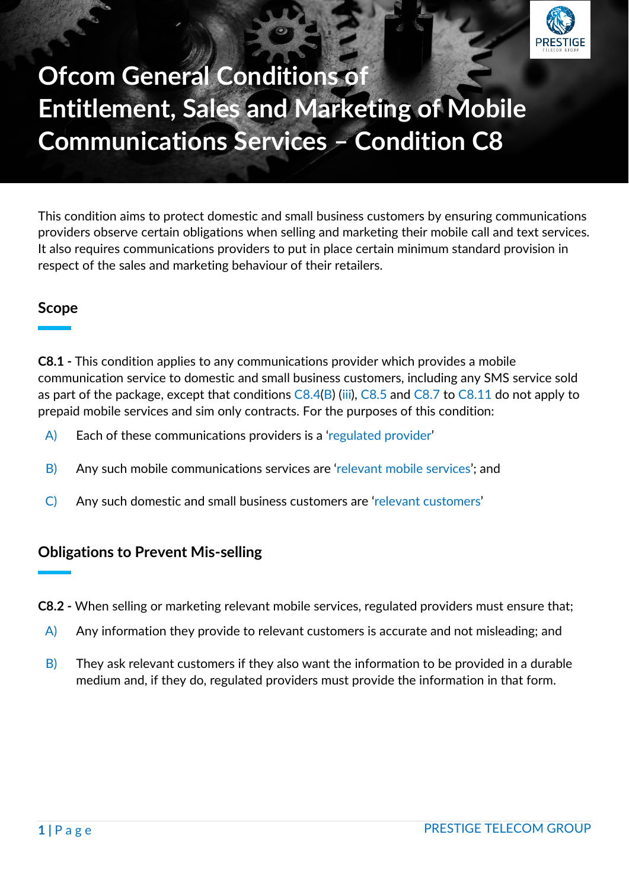

# **Ofcom General Conditions of Entitlement, Sales and Marketing of Mobile Communications Services – Condition C8**

This condition aims to protect domestic and small business customers by ensuring communications providers observe certain obligations when selling and marketing their mobile call and text services. It also requires communications providers to put in place certain minimum standard provision in respect of the sales and marketing behaviour of their retailers.

#### **Scope**

**C8.1 -** This condition applies to any communications provider which provides a mobile communication service to domestic and small business customers, including any SMS service sold as part of the package, except that conditions C8.4(B) (iii), C8.5 and C8.7 to C8.11 do not apply to prepaid mobile services and sim only contracts. For the purposes of this condition:

- A) Each of these communications providers is a 'regulated provider'
- B) Any such mobile communications services are 'relevant mobile services'; and
- C) Any such domestic and small business customers are 'relevant customers'

### **Obligations to Prevent Mis-selling**

**C8.2 -** When selling or marketing relevant mobile services, regulated providers must ensure that;

- $\overline{A}$  Any information they provide to relevant customers is accurate and not misleading; and
- $\overline{B}$ ) They ask relevant customers if they also want the information to be provided in a durable medium and, if they do, regulated providers must provide the information in that form.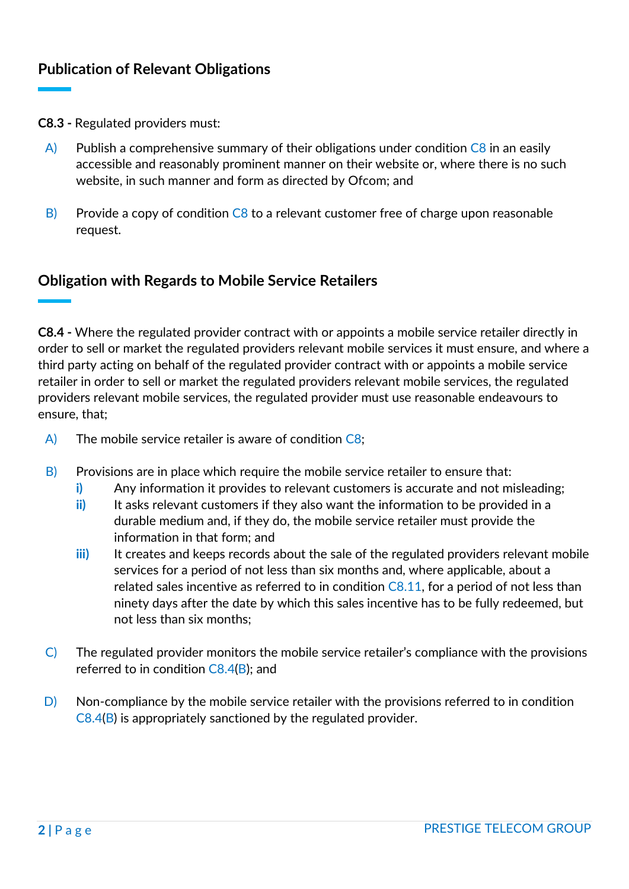- **C8.3 -** Regulated providers must:
	- $\overline{A}$  Publish a comprehensive summary of their obligations under condition C8 in an easily accessible and reasonably prominent manner on their website or, where there is no such website, in such manner and form as directed by Ofcom; and
	- $\vert$ B) Provide a copy of condition C8 to a relevant customer free of charge upon reasonable request.

### **Obligation with Regards to Mobile Service Retailers**

**C8.4 -** Where the regulated provider contract with or appoints a mobile service retailer directly in order to sell or market the regulated providers relevant mobile services it must ensure, and where a third party acting on behalf of the regulated provider contract with or appoints a mobile service retailer in order to sell or market the regulated providers relevant mobile services, the regulated providers relevant mobile services, the regulated provider must use reasonable endeavours to ensure, that;

- A) The mobile service retailer is aware of condition C8;
- $\vert B \vert$  Provisions are in place which require the mobile service retailer to ensure that:
	- **i)** Any information it provides to relevant customers is accurate and not misleading;
	- **ii)** It asks relevant customers if they also want the information to be provided in a durable medium and, if they do, the mobile service retailer must provide the information in that form; and
	- **iii)** It creates and keeps records about the sale of the regulated providers relevant mobile services for a period of not less than six months and, where applicable, about a related sales incentive as referred to in condition C8.11, for a period of not less than ninety days after the date by which this sales incentive has to be fully redeemed, but not less than six months;
- C) The regulated provider monitors the mobile service retailer's compliance with the provisions referred to in condition C8.4(B); and
- $\Box$  Non-compliance by the mobile service retailer with the provisions referred to in condition C8.4(B) is appropriately sanctioned by the regulated provider.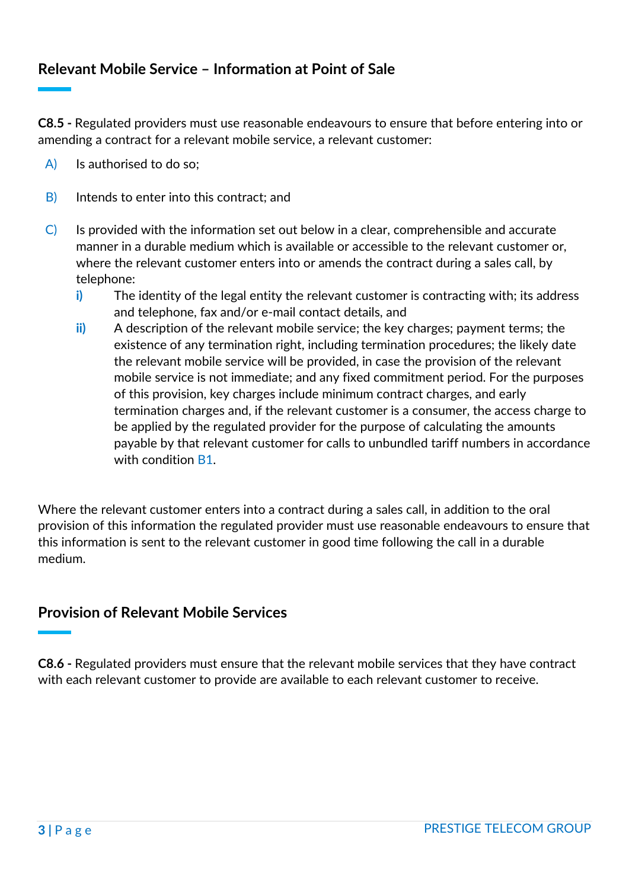# **Relevant Mobile Service – Information at Point of Sale**

**C8.5 -** Regulated providers must use reasonable endeavours to ensure that before entering into or amending a contract for a relevant mobile service, a relevant customer:

- A) Is authorised to do so;
- B) Intends to enter into this contract; and
- C) Is provided with the information set out below in a clear, comprehensible and accurate manner in a durable medium which is available or accessible to the relevant customer or, where the relevant customer enters into or amends the contract during a sales call, by telephone:
	- **i)** The identity of the legal entity the relevant customer is contracting with; its address and telephone, fax and/or e-mail contact details, and
	- **ii)** A description of the relevant mobile service; the key charges; payment terms; the existence of any termination right, including termination procedures; the likely date the relevant mobile service will be provided, in case the provision of the relevant mobile service is not immediate; and any fixed commitment period. For the purposes of this provision, key charges include minimum contract charges, and early termination charges and, if the relevant customer is a consumer, the access charge to be applied by the regulated provider for the purpose of calculating the amounts payable by that relevant customer for calls to unbundled tariff numbers in accordance with condition **B1**

Where the relevant customer enters into a contract during a sales call, in addition to the oral provision of this information the regulated provider must use reasonable endeavours to ensure that this information is sent to the relevant customer in good time following the call in a durable medium.

#### **Provision of Relevant Mobile Services**

**C8.6 -** Regulated providers must ensure that the relevant mobile services that they have contract with each relevant customer to provide are available to each relevant customer to receive.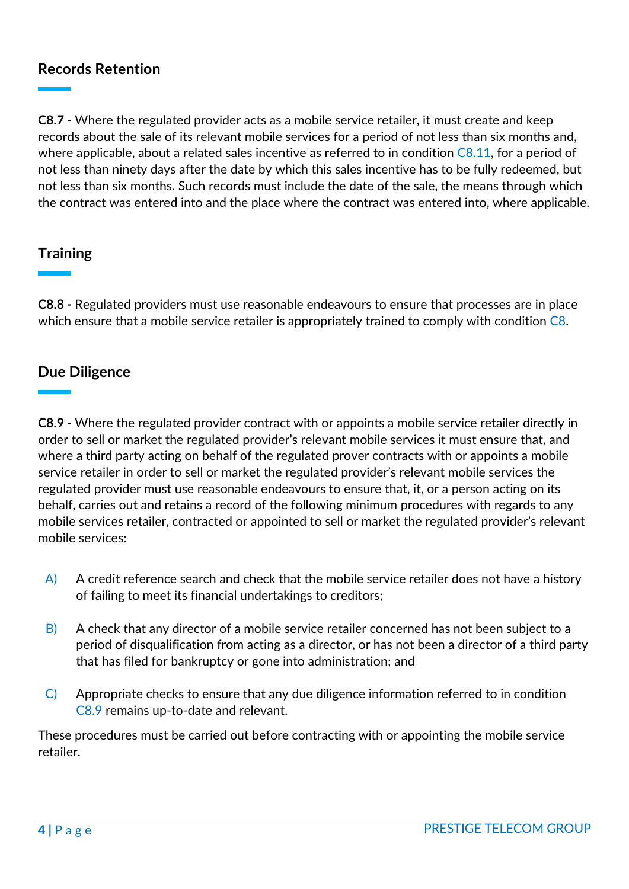### **Records Retention**

**C8.7 -** Where the regulated provider acts as a mobile service retailer, it must create and keep records about the sale of its relevant mobile services for a period of not less than six months and, where applicable, about a related sales incentive as referred to in condition  $C8.11$ , for a period of not less than ninety days after the date by which this sales incentive has to be fully redeemed, but not less than six months. Such records must include the date of the sale, the means through which the contract was entered into and the place where the contract was entered into, where applicable.

# **Training**

**C8.8 -** Regulated providers must use reasonable endeavours to ensure that processes are in place which ensure that a mobile service retailer is appropriately trained to comply with condition C8.

#### **Due Diligence**

**C8.9 -** Where the regulated provider contract with or appoints a mobile service retailer directly in order to sell or market the regulated provider's relevant mobile services it must ensure that, and where a third party acting on behalf of the regulated prover contracts with or appoints a mobile service retailer in order to sell or market the regulated provider's relevant mobile services the regulated provider must use reasonable endeavours to ensure that, it, or a person acting on its behalf, carries out and retains a record of the following minimum procedures with regards to any mobile services retailer, contracted or appointed to sell or market the regulated provider's relevant mobile services:

- $\overrightarrow{A}$  A credit reference search and check that the mobile service retailer does not have a history of failing to meet its financial undertakings to creditors;
- $\vert$ B) A check that any director of a mobile service retailer concerned has not been subject to a period of disqualification from acting as a director, or has not been a director of a third party that has filed for bankruptcy or gone into administration; and
- C) Appropriate checks to ensure that any due diligence information referred to in condition C8.9 remains up-to-date and relevant.

These procedures must be carried out before contracting with or appointing the mobile service retailer.